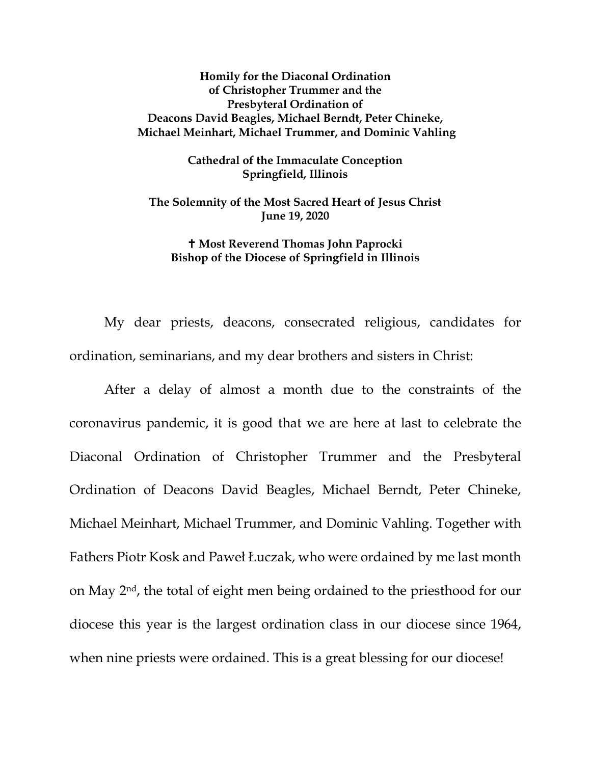## **Homily for the Diaconal Ordination of Christopher Trummer and the Presbyteral Ordination of Deacons David Beagles, Michael Berndt, Peter Chineke, Michael Meinhart, Michael Trummer, and Dominic Vahling**

**Cathedral of the Immaculate Conception Springfield, Illinois**

**The Solemnity of the Most Sacred Heart of Jesus Christ June 19, 2020**

## **Most Reverend Thomas John Paprocki Bishop of the Diocese of Springfield in Illinois**

My dear priests, deacons, consecrated religious, candidates for ordination, seminarians, and my dear brothers and sisters in Christ:

After a delay of almost a month due to the constraints of the coronavirus pandemic, it is good that we are here at last to celebrate the Diaconal Ordination of Christopher Trummer and the Presbyteral Ordination of Deacons David Beagles, Michael Berndt, Peter Chineke, Michael Meinhart, Michael Trummer, and Dominic Vahling. Together with Fathers Piotr Kosk and Paweł Łuczak, who were ordained by me last month on May 2nd, the total of eight men being ordained to the priesthood for our diocese this year is the largest ordination class in our diocese since 1964, when nine priests were ordained. This is a great blessing for our diocese!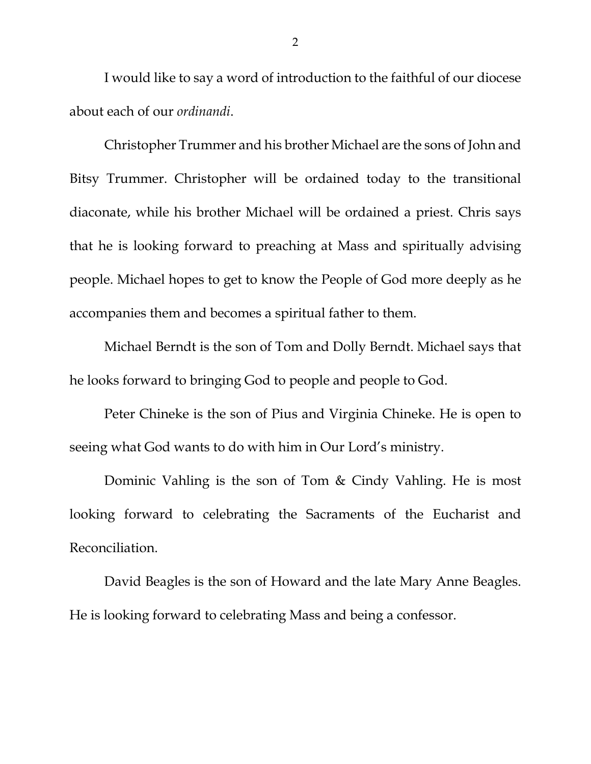I would like to say a word of introduction to the faithful of our diocese about each of our *ordinandi*.

Christopher Trummer and his brother Michael are the sons of John and Bitsy Trummer. Christopher will be ordained today to the transitional diaconate, while his brother Michael will be ordained a priest. Chris says that he is looking forward to preaching at Mass and spiritually advising people. Michael hopes to get to know the People of God more deeply as he accompanies them and becomes a spiritual father to them.

Michael Berndt is the son of Tom and Dolly Berndt. Michael says that he looks forward to bringing God to people and people to God.

Peter Chineke is the son of Pius and Virginia Chineke. He is open to seeing what God wants to do with him in Our Lord's ministry.

Dominic Vahling is the son of Tom & Cindy Vahling. He is most looking forward to celebrating the Sacraments of the Eucharist and Reconciliation.

David Beagles is the son of Howard and the late Mary Anne Beagles. He is looking forward to celebrating Mass and being a confessor.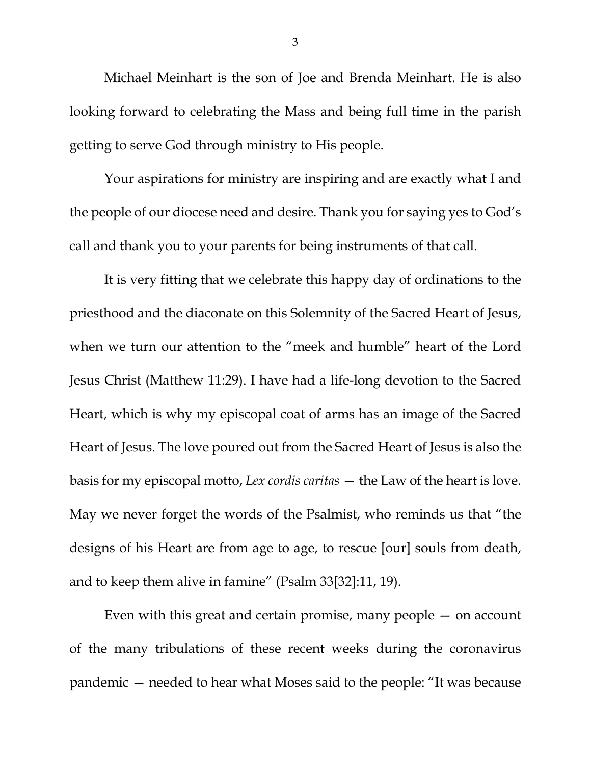Michael Meinhart is the son of Joe and Brenda Meinhart. He is also looking forward to celebrating the Mass and being full time in the parish getting to serve God through ministry to His people.

Your aspirations for ministry are inspiring and are exactly what I and the people of our diocese need and desire. Thank you for saying yes to God's call and thank you to your parents for being instruments of that call.

It is very fitting that we celebrate this happy day of ordinations to the priesthood and the diaconate on this Solemnity of the Sacred Heart of Jesus, when we turn our attention to the "meek and humble" heart of the Lord Jesus Christ (Matthew 11:29). I have had a life-long devotion to the Sacred Heart, which is why my episcopal coat of arms has an image of the Sacred Heart of Jesus. The love poured out from the Sacred Heart of Jesus is also the basis for my episcopal motto, *Lex cordis caritas* — the Law of the heart is love. May we never forget the words of the Psalmist, who reminds us that "the designs of his Heart are from age to age, to rescue [our] souls from death, and to keep them alive in famine" (Psalm 33[32]:11, 19).

Even with this great and certain promise, many people  $-$  on account of the many tribulations of these recent weeks during the coronavirus pandemic — needed to hear what Moses said to the people: "It was because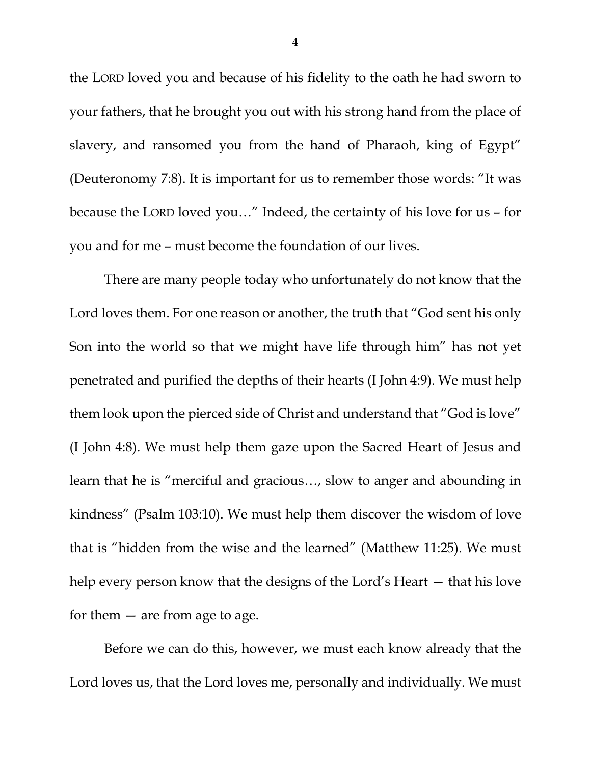the LORD loved you and because of his fidelity to the oath he had sworn to your fathers, that he brought you out with his strong hand from the place of slavery, and ransomed you from the hand of Pharaoh, king of Egypt" (Deuteronomy 7:8). It is important for us to remember those words: "It was because the LORD loved you…" Indeed, the certainty of his love for us – for you and for me – must become the foundation of our lives.

There are many people today who unfortunately do not know that the Lord loves them. For one reason or another, the truth that "God sent his only Son into the world so that we might have life through him" has not yet penetrated and purified the depths of their hearts (I John 4:9). We must help them look upon the pierced side of Christ and understand that "God is love" (I John 4:8). We must help them gaze upon the Sacred Heart of Jesus and learn that he is "merciful and gracious…, slow to anger and abounding in kindness" (Psalm 103:10). We must help them discover the wisdom of love that is "hidden from the wise and the learned" (Matthew 11:25). We must help every person know that the designs of the Lord's Heart — that his love for them  $-$  are from age to age.

Before we can do this, however, we must each know already that the Lord loves us, that the Lord loves me, personally and individually. We must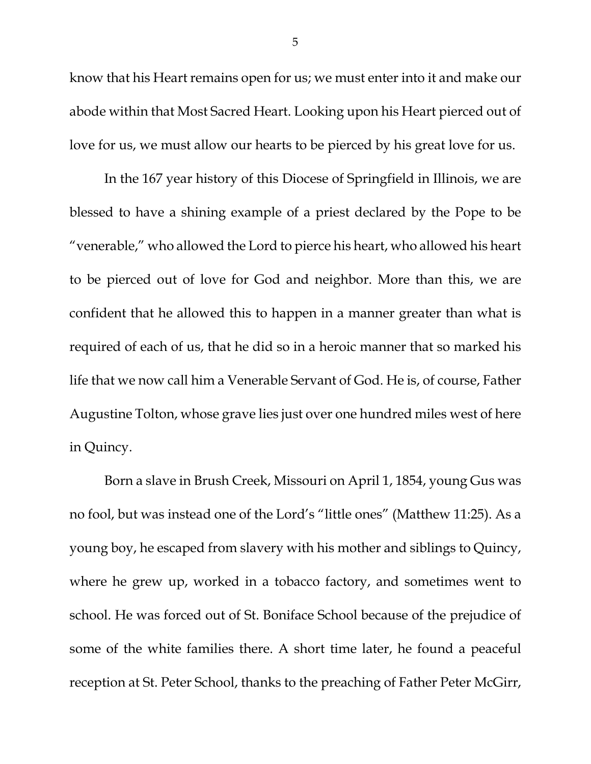know that his Heart remains open for us; we must enter into it and make our abode within that Most Sacred Heart. Looking upon his Heart pierced out of love for us, we must allow our hearts to be pierced by his great love for us.

In the 167 year history of this Diocese of Springfield in Illinois, we are blessed to have a shining example of a priest declared by the Pope to be "venerable," who allowed the Lord to pierce his heart, who allowed his heart to be pierced out of love for God and neighbor. More than this, we are confident that he allowed this to happen in a manner greater than what is required of each of us, that he did so in a heroic manner that so marked his life that we now call him a Venerable Servant of God. He is, of course, Father Augustine Tolton, whose grave lies just over one hundred miles west of here in Quincy.

Born a slave in Brush Creek, Missouri on April 1, 1854, young Gus was no fool, but was instead one of the Lord's "little ones" (Matthew 11:25). As a young boy, he escaped from slavery with his mother and siblings to Quincy, where he grew up, worked in a tobacco factory, and sometimes went to school. He was forced out of St. Boniface School because of the prejudice of some of the white families there. A short time later, he found a peaceful reception at St. Peter School, thanks to the preaching of Father Peter McGirr,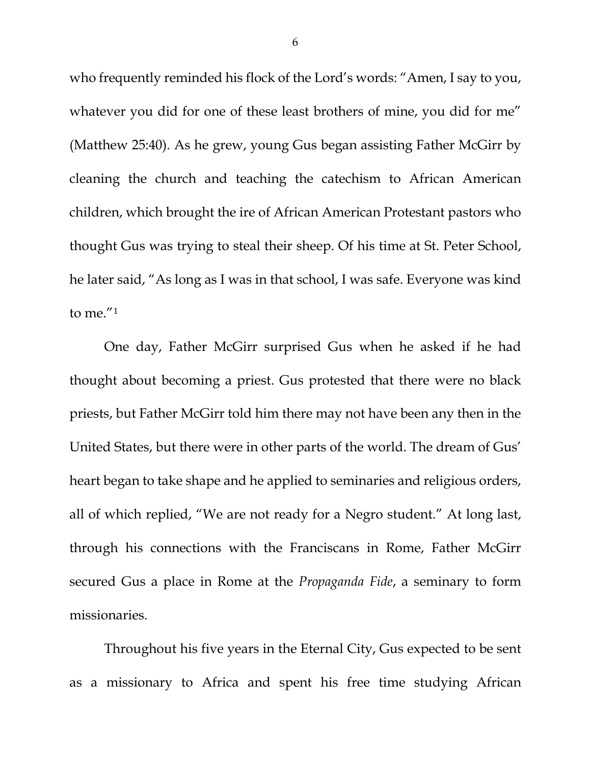who frequently reminded his flock of the Lord's words: "Amen, I say to you, whatever you did for one of these least brothers of mine, you did for me" (Matthew 25:40). As he grew, young Gus began assisting Father McGirr by cleaning the church and teaching the catechism to African American children, which brought the ire of African American Protestant pastors who thought Gus was trying to steal their sheep. Of his time at St. Peter School, he later said, "As long as I was in that school, I was safe. Everyone was kind to me."[1](#page-9-0)

One day, Father McGirr surprised Gus when he asked if he had thought about becoming a priest. Gus protested that there were no black priests, but Father McGirr told him there may not have been any then in the United States, but there were in other parts of the world. The dream of Gus' heart began to take shape and he applied to seminaries and religious orders, all of which replied, "We are not ready for a Negro student." At long last, through his connections with the Franciscans in Rome, Father McGirr secured Gus a place in Rome at the *Propaganda Fide*, a seminary to form missionaries.

Throughout his five years in the Eternal City, Gus expected to be sent as a missionary to Africa and spent his free time studying African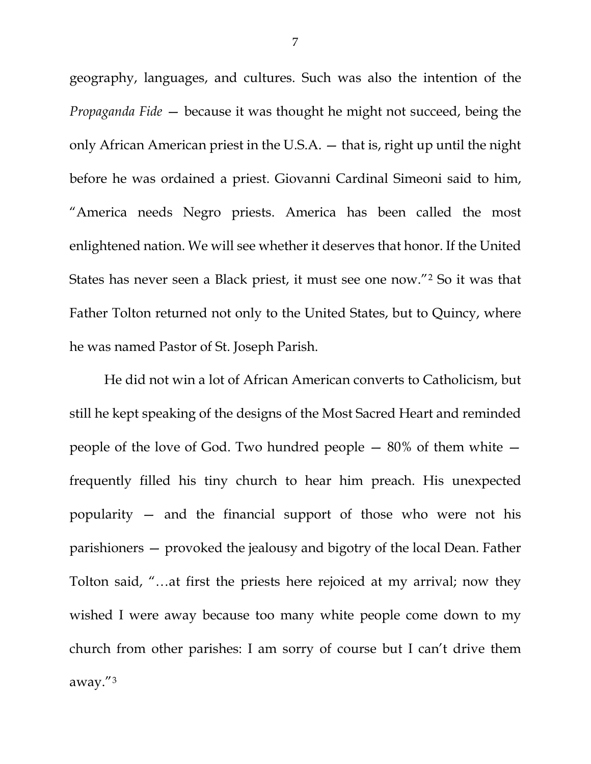geography, languages, and cultures. Such was also the intention of the *Propaganda Fide* — because it was thought he might not succeed, being the only African American priest in the U.S.A. — that is, right up until the night before he was ordained a priest. Giovanni Cardinal Simeoni said to him, "America needs Negro priests. America has been called the most enlightened nation. We will see whether it deserves that honor. If the United States has never seen a Black priest, it must see one now."[2](#page-9-1) So it was that Father Tolton returned not only to the United States, but to Quincy, where he was named Pastor of St. Joseph Parish.

He did not win a lot of African American converts to Catholicism, but still he kept speaking of the designs of the Most Sacred Heart and reminded people of the love of God. Two hundred people — 80% of them white frequently filled his tiny church to hear him preach. His unexpected popularity — and the financial support of those who were not his parishioners — provoked the jealousy and bigotry of the local Dean. Father Tolton said, "…at first the priests here rejoiced at my arrival; now they wished I were away because too many white people come down to my church from other parishes: I am sorry of course but I can't drive them away."[3](#page-9-2)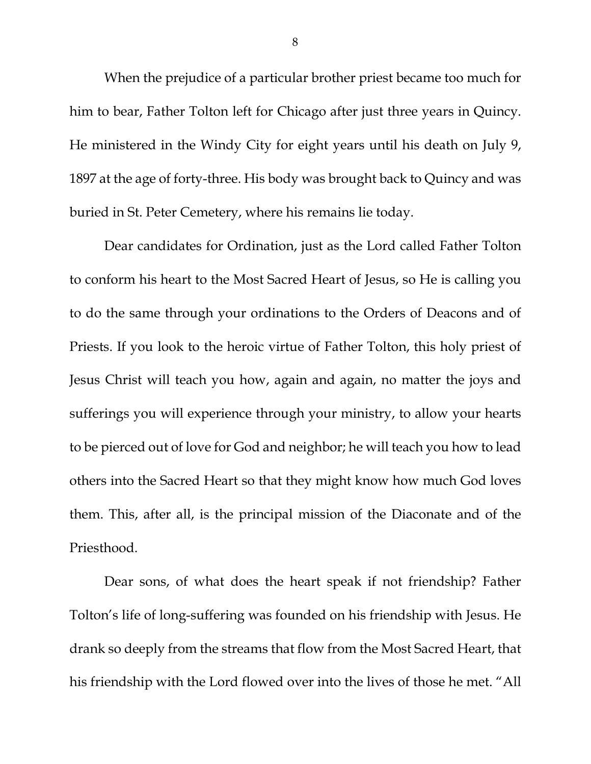When the prejudice of a particular brother priest became too much for him to bear, Father Tolton left for Chicago after just three years in Quincy. He ministered in the Windy City for eight years until his death on July 9, 1897 at the age of forty-three. His body was brought back to Quincy and was buried in St. Peter Cemetery, where his remains lie today.

Dear candidates for Ordination, just as the Lord called Father Tolton to conform his heart to the Most Sacred Heart of Jesus, so He is calling you to do the same through your ordinations to the Orders of Deacons and of Priests. If you look to the heroic virtue of Father Tolton, this holy priest of Jesus Christ will teach you how, again and again, no matter the joys and sufferings you will experience through your ministry, to allow your hearts to be pierced out of love for God and neighbor; he will teach you how to lead others into the Sacred Heart so that they might know how much God loves them. This, after all, is the principal mission of the Diaconate and of the Priesthood.

Dear sons, of what does the heart speak if not friendship? Father Tolton's life of long-suffering was founded on his friendship with Jesus. He drank so deeply from the streams that flow from the Most Sacred Heart, that his friendship with the Lord flowed over into the lives of those he met. "All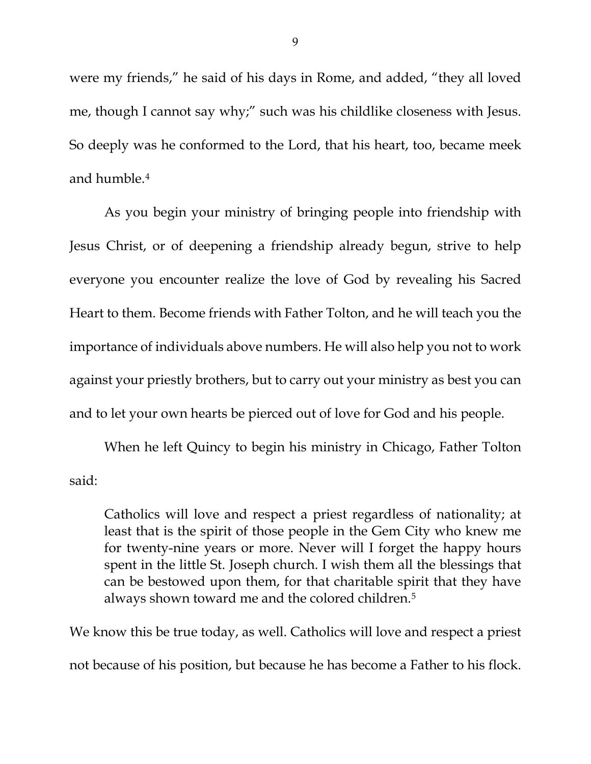were my friends," he said of his days in Rome, and added, "they all loved me, though I cannot say why;" such was his childlike closeness with Jesus. So deeply was he conformed to the Lord, that his heart, too, became meek and humble.[4](#page-9-3)

As you begin your ministry of bringing people into friendship with Jesus Christ, or of deepening a friendship already begun, strive to help everyone you encounter realize the love of God by revealing his Sacred Heart to them. Become friends with Father Tolton, and he will teach you the importance of individuals above numbers. He will also help you not to work against your priestly brothers, but to carry out your ministry as best you can and to let your own hearts be pierced out of love for God and his people.

When he left Quincy to begin his ministry in Chicago, Father Tolton said:

Catholics will love and respect a priest regardless of nationality; at least that is the spirit of those people in the Gem City who knew me for twenty-nine years or more. Never will I forget the happy hours spent in the little St. Joseph church. I wish them all the blessings that can be bestowed upon them, for that charitable spirit that they have always shown toward me and the colored children[.5](#page-9-4)

We know this be true today, as well. Catholics will love and respect a priest not because of his position, but because he has become a Father to his flock.